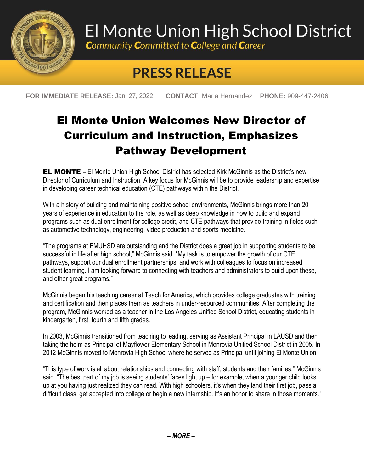

## El Monte Union High School District

**Community Committed to College and Career** 

## **PRESS RELEASE**

**FOR IMMEDIATE RELEASE:** Jan. 27, 2022 **CONTACT:** Maria Hernandez **PHONE:** 909-447-2406

## El Monte Union Welcomes New Director of Curriculum and Instruction, Emphasizes Pathway Development

EL MONTE **–** El Monte Union High School District has selected Kirk McGinnis as the District's new Director of Curriculum and Instruction. A key focus for McGinnis will be to provide leadership and expertise in developing career technical education (CTE) pathways within the District.

With a history of building and maintaining positive school environments, McGinnis brings more than 20 years of experience in education to the role, as well as deep knowledge in how to build and expand programs such as dual enrollment for college credit, and CTE pathways that provide training in fields such as automotive technology, engineering, video production and sports medicine.

"The programs at EMUHSD are outstanding and the District does a great job in supporting students to be successful in life after high school," McGinnis said. "My task is to empower the growth of our CTE pathways, support our dual enrollment partnerships, and work with colleagues to focus on increased student learning. I am looking forward to connecting with teachers and administrators to build upon these, and other great programs."

McGinnis began his teaching career at Teach for America, which provides college graduates with training and certification and then places them as teachers in under-resourced communities. After completing the program, McGinnis worked as a teacher in the Los Angeles Unified School District, educating students in kindergarten, first, fourth and fifth grades.

In 2003, McGinnis transitioned from teaching to leading, serving as Assistant Principal in LAUSD and then taking the helm as Principal of Mayflower Elementary School in Monrovia Unified School District in 2005. In 2012 McGinnis moved to Monrovia High School where he served as Principal until joining El Monte Union.

"This type of work is all about relationships and connecting with staff, students and their families," McGinnis said. "The best part of my job is seeing students' faces light up – for example, when a younger child looks up at you having just realized they can read. With high schoolers, it's when they land their first job, pass a difficult class, get accepted into college or begin a new internship. It's an honor to share in those moments."